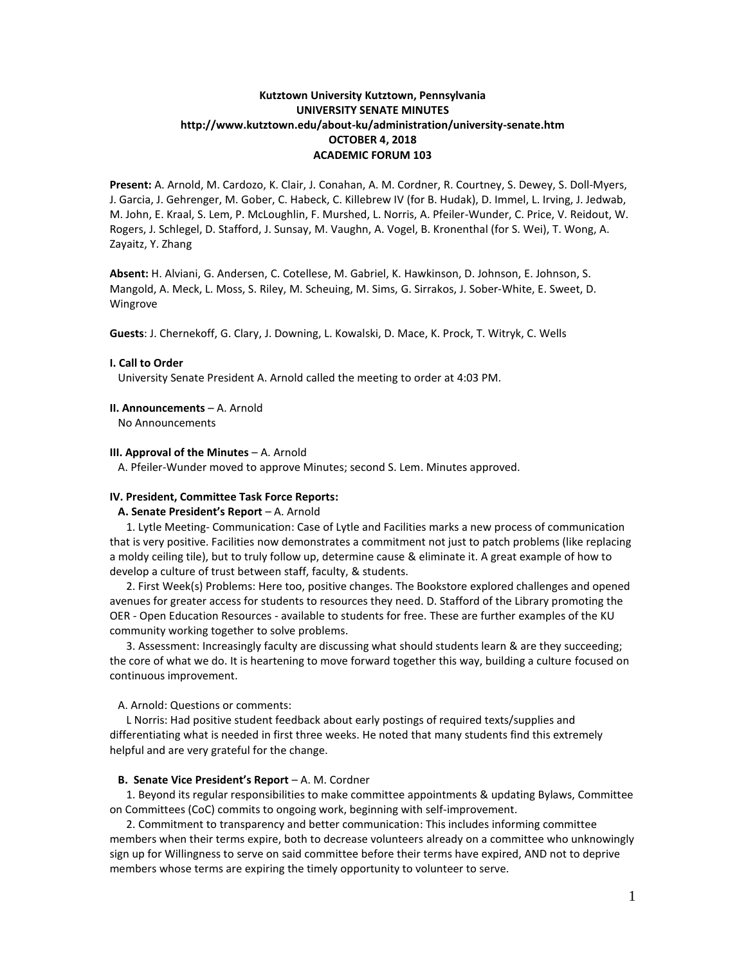# **Kutztown University Kutztown, Pennsylvania UNIVERSITY SENATE MINUTES http://www.kutztown.edu/about-ku/administration/university-senate.htm OCTOBER 4, 2018 ACADEMIC FORUM 103**

**Present:** A. Arnold, M. Cardozo, K. Clair, J. Conahan, A. M. Cordner, R. Courtney, S. Dewey, S. Doll-Myers, J. Garcia, J. Gehrenger, M. Gober, C. Habeck, C. Killebrew IV (for B. Hudak), D. Immel, L. Irving, J. Jedwab, M. John, E. Kraal, S. Lem, P. McLoughlin, F. Murshed, L. Norris, A. Pfeiler-Wunder, C. Price, V. Reidout, W. Rogers, J. Schlegel, D. Stafford, J. Sunsay, M. Vaughn, A. Vogel, B. Kronenthal (for S. Wei), T. Wong, A. Zayaitz, Y. Zhang

**Absent:** H. Alviani, G. Andersen, C. Cotellese, M. Gabriel, K. Hawkinson, D. Johnson, E. Johnson, S. Mangold, A. Meck, L. Moss, S. Riley, M. Scheuing, M. Sims, G. Sirrakos, J. Sober-White, E. Sweet, D. Wingrove

**Guests**: J. Chernekoff, G. Clary, J. Downing, L. Kowalski, D. Mace, K. Prock, T. Witryk, C. Wells

## **I. Call to Order**

University Senate President A. Arnold called the meeting to order at 4:03 PM.

## **II. Announcements** – A. Arnold

No Announcements

#### **III. Approval of the Minutes** – A. Arnold

A. Pfeiler-Wunder moved to approve Minutes; second S. Lem. Minutes approved.

#### **IV. President, Committee Task Force Reports:**

## **A. Senate President's Report** – A. Arnold

 1. Lytle Meeting- Communication: Case of Lytle and Facilities marks a new process of communication that is very positive. Facilities now demonstrates a commitment not just to patch problems (like replacing a moldy ceiling tile), but to truly follow up, determine cause & eliminate it. A great example of how to develop a culture of trust between staff, faculty, & students.

 2. First Week(s) Problems: Here too, positive changes. The Bookstore explored challenges and opened avenues for greater access for students to resources they need. D. Stafford of the Library promoting the OER - Open Education Resources - available to students for free. These are further examples of the KU community working together to solve problems.

 3. Assessment: Increasingly faculty are discussing what should students learn & are they succeeding; the core of what we do. It is heartening to move forward together this way, building a culture focused on continuous improvement.

A. Arnold: Questions or comments:

 L Norris: Had positive student feedback about early postings of required texts/supplies and differentiating what is needed in first three weeks. He noted that many students find this extremely helpful and are very grateful for the change.

#### **B. Senate Vice President's Report** – A. M. Cordner

 1. Beyond its regular responsibilities to make committee appointments & updating Bylaws, Committee on Committees (CoC) commits to ongoing work, beginning with self-improvement.

 2. Commitment to transparency and better communication: This includes informing committee members when their terms expire, both to decrease volunteers already on a committee who unknowingly sign up for Willingness to serve on said committee before their terms have expired, AND not to deprive members whose terms are expiring the timely opportunity to volunteer to serve.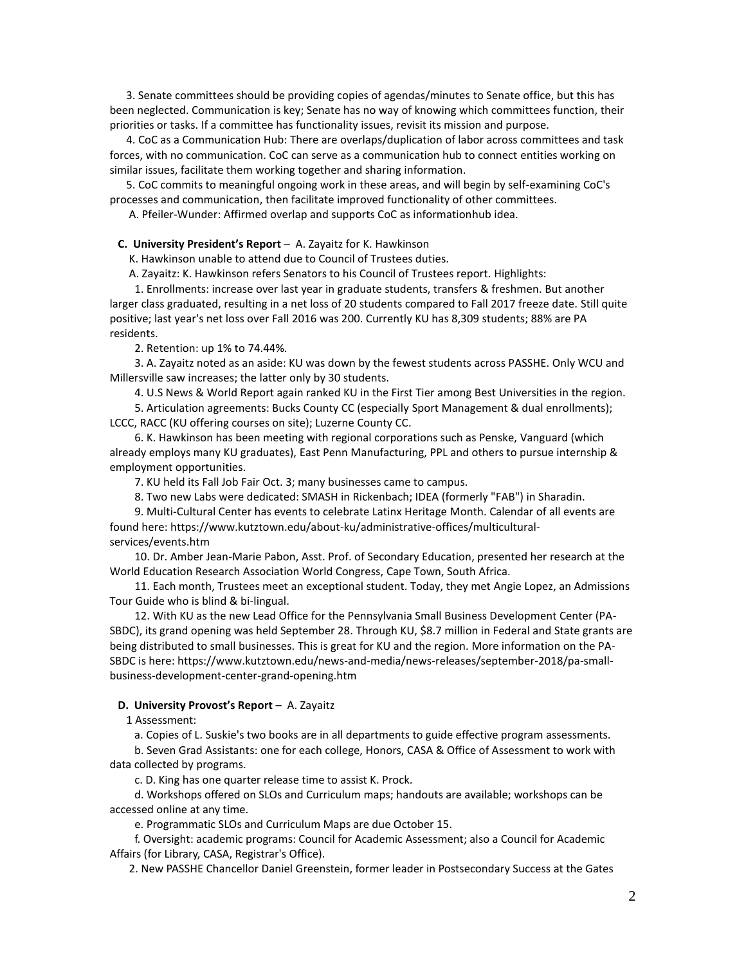3. Senate committees should be providing copies of agendas/minutes to Senate office, but this has been neglected. Communication is key; Senate has no way of knowing which committees function, their priorities or tasks. If a committee has functionality issues, revisit its mission and purpose.

 4. CoC as a Communication Hub: There are overlaps/duplication of labor across committees and task forces, with no communication. CoC can serve as a communication hub to connect entities working on similar issues, facilitate them working together and sharing information.

 5. CoC commits to meaningful ongoing work in these areas, and will begin by self-examining CoC's processes and communication, then facilitate improved functionality of other committees.

A. Pfeiler-Wunder: Affirmed overlap and supports CoC as informationhub idea.

**C. University President's Report** – A. Zayaitz for K. Hawkinson

K. Hawkinson unable to attend due to Council of Trustees duties.

A. Zayaitz: K. Hawkinson refers Senators to his Council of Trustees report. Highlights:

 1. Enrollments: increase over last year in graduate students, transfers & freshmen. But another larger class graduated, resulting in a net loss of 20 students compared to Fall 2017 freeze date. Still quite positive; last year's net loss over Fall 2016 was 200. Currently KU has 8,309 students; 88% are PA residents.

2. Retention: up 1% to 74.44%.

 3. A. Zayaitz noted as an aside: KU was down by the fewest students across PASSHE. Only WCU and Millersville saw increases; the latter only by 30 students.

4. U.S News & World Report again ranked KU in the First Tier among Best Universities in the region.

 5. Articulation agreements: Bucks County CC (especially Sport Management & dual enrollments); LCCC, RACC (KU offering courses on site); Luzerne County CC.

 6. K. Hawkinson has been meeting with regional corporations such as Penske, Vanguard (which already employs many KU graduates), East Penn Manufacturing, PPL and others to pursue internship & employment opportunities.

7. KU held its Fall Job Fair Oct. 3; many businesses came to campus.

8. Two new Labs were dedicated: SMASH in Rickenbach; IDEA (formerly "FAB") in Sharadin.

 9. Multi-Cultural Center has events to celebrate Latinx Heritage Month. Calendar of all events are found here: https://www.kutztown.edu/about-ku/administrative-offices/multiculturalservices/events.htm

 10. Dr. Amber Jean-Marie Pabon, Asst. Prof. of Secondary Education, presented her research at the World Education Research Association World Congress, Cape Town, South Africa.

 11. Each month, Trustees meet an exceptional student. Today, they met Angie Lopez, an Admissions Tour Guide who is blind & bi-lingual.

 12. With KU as the new Lead Office for the Pennsylvania Small Business Development Center (PA-SBDC), its grand opening was held September 28. Through KU, \$8.7 million in Federal and State grants are being distributed to small businesses. This is great for KU and the region. More information on the PA-SBDC is here: https://www.kutztown.edu/news-and-media/news-releases/september-2018/pa-smallbusiness-development-center-grand-opening.htm

### **D. University Provost's Report** – A. Zayaitz

1 Assessment:

a. Copies of L. Suskie's two books are in all departments to guide effective program assessments.

 b. Seven Grad Assistants: one for each college, Honors, CASA & Office of Assessment to work with data collected by programs.

c. D. King has one quarter release time to assist K. Prock.

 d. Workshops offered on SLOs and Curriculum maps; handouts are available; workshops can be accessed online at any time.

e. Programmatic SLOs and Curriculum Maps are due October 15.

 f. Oversight: academic programs: Council for Academic Assessment; also a Council for Academic Affairs (for Library, CASA, Registrar's Office).

2. New PASSHE Chancellor Daniel Greenstein, former leader in Postsecondary Success at the Gates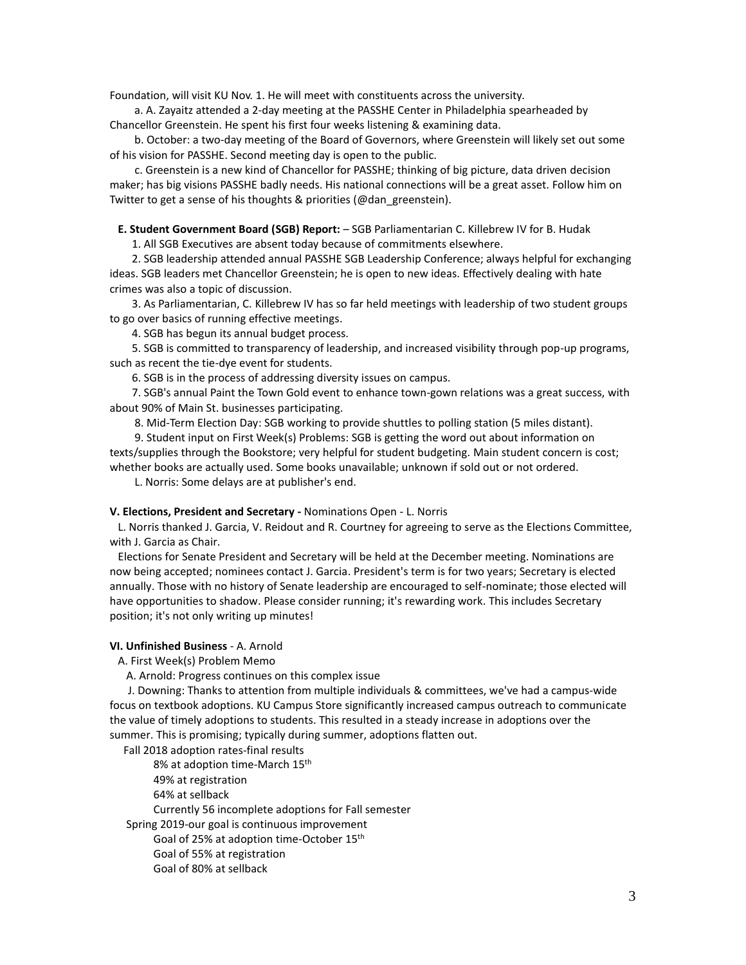Foundation, will visit KU Nov. 1. He will meet with constituents across the university.

 a. A. Zayaitz attended a 2-day meeting at the PASSHE Center in Philadelphia spearheaded by Chancellor Greenstein. He spent his first four weeks listening & examining data.

 b. October: a two-day meeting of the Board of Governors, where Greenstein will likely set out some of his vision for PASSHE. Second meeting day is open to the public.

 c. Greenstein is a new kind of Chancellor for PASSHE; thinking of big picture, data driven decision maker; has big visions PASSHE badly needs. His national connections will be a great asset. Follow him on Twitter to get a sense of his thoughts & priorities (@dan\_greenstein).

**E. Student Government Board (SGB) Report:** – SGB Parliamentarian C. Killebrew IV for B. Hudak

1. All SGB Executives are absent today because of commitments elsewhere.

 2. SGB leadership attended annual PASSHE SGB Leadership Conference; always helpful for exchanging ideas. SGB leaders met Chancellor Greenstein; he is open to new ideas. Effectively dealing with hate crimes was also a topic of discussion.

 3. As Parliamentarian, C. Killebrew IV has so far held meetings with leadership of two student groups to go over basics of running effective meetings.

4. SGB has begun its annual budget process.

 5. SGB is committed to transparency of leadership, and increased visibility through pop-up programs, such as recent the tie-dye event for students.

6. SGB is in the process of addressing diversity issues on campus.

 7. SGB's annual Paint the Town Gold event to enhance town-gown relations was a great success, with about 90% of Main St. businesses participating.

8. Mid-Term Election Day: SGB working to provide shuttles to polling station (5 miles distant).

 9. Student input on First Week(s) Problems: SGB is getting the word out about information on texts/supplies through the Bookstore; very helpful for student budgeting. Main student concern is cost; whether books are actually used. Some books unavailable; unknown if sold out or not ordered.

L. Norris: Some delays are at publisher's end.

## **V. Elections, President and Secretary -** Nominations Open - L. Norris

 L. Norris thanked J. Garcia, V. Reidout and R. Courtney for agreeing to serve as the Elections Committee, with J. Garcia as Chair.

 Elections for Senate President and Secretary will be held at the December meeting. Nominations are now being accepted; nominees contact J. Garcia. President's term is for two years; Secretary is elected annually. Those with no history of Senate leadership are encouraged to self-nominate; those elected will have opportunities to shadow. Please consider running; it's rewarding work. This includes Secretary position; it's not only writing up minutes!

## **VI. Unfinished Business** - A. Arnold

A. First Week(s) Problem Memo

A. Arnold: Progress continues on this complex issue

 J. Downing: Thanks to attention from multiple individuals & committees, we've had a campus-wide focus on textbook adoptions. KU Campus Store significantly increased campus outreach to communicate the value of timely adoptions to students. This resulted in a steady increase in adoptions over the summer. This is promising; typically during summer, adoptions flatten out.

Fall 2018 adoption rates-final results

8% at adoption time-March 15<sup>th</sup>

49% at registration

64% at sellback

Currently 56 incomplete adoptions for Fall semester

Spring 2019-our goal is continuous improvement

Goal of 25% at adoption time-October 15th

- Goal of 55% at registration
- Goal of 80% at sellback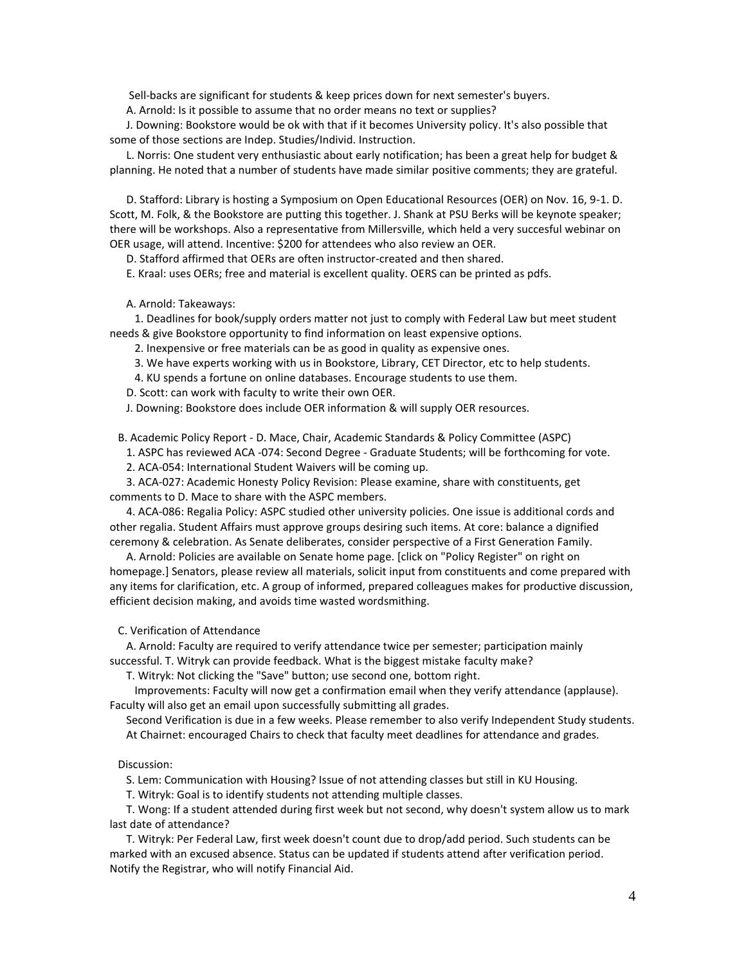Sell-backs are significant for students & keep prices down for next semester's buyers.

A. Arnold: Is it possible to assume that no order means no text or supplies?

 J. Downing: Bookstore would be ok with that if it becomes University policy. It's also possible that some of those sections are Indep. Studies/Individ. Instruction.

 L. Norris: One student very enthusiastic about early notification; has been a great help for budget & planning. He noted that a number of students have made similar positive comments; they are grateful.

 D. Stafford: Library is hosting a Symposium on Open Educational Resources (OER) on Nov. 16, 9-1. D. Scott, M. Folk, & the Bookstore are putting this together. J. Shank at PSU Berks will be keynote speaker; there will be workshops. Also a representative from Millersville, which held a very succesful webinar on OER usage, will attend. Incentive: \$200 for attendees who also review an OER.

D. Stafford affirmed that OERs are often instructor-created and then shared.

E. Kraal: uses OERs; free and material is excellent quality. OERS can be printed as pdfs.

A. Arnold: Takeaways:

 1. Deadlines for book/supply orders matter not just to comply with Federal Law but meet student needs & give Bookstore opportunity to find information on least expensive options.

2. Inexpensive or free materials can be as good in quality as expensive ones.

3. We have experts working with us in Bookstore, Library, CET Director, etc to help students.

4. KU spends a fortune on online databases. Encourage students to use them.

D. Scott: can work with faculty to write their own OER.

J. Downing: Bookstore does include OER information & will supply OER resources.

B. Academic Policy Report - D. Mace, Chair, Academic Standards & Policy Committee (ASPC)

1. ASPC has reviewed ACA -074: Second Degree - Graduate Students; will be forthcoming for vote.

2. ACA-054: International Student Waivers will be coming up.

 3. ACA-027: Academic Honesty Policy Revision: Please examine, share with constituents, get comments to D. Mace to share with the ASPC members.

 4. ACA-086: Regalia Policy: ASPC studied other university policies. One issue is additional cords and other regalia. Student Affairs must approve groups desiring such items. At core: balance a dignified ceremony & celebration. As Senate deliberates, consider perspective of a First Generation Family.

 A. Arnold: Policies are available on Senate home page. [click on "Policy Register" on right on homepage.] Senators, please review all materials, solicit input from constituents and come prepared with any items for clarification, etc. A group of informed, prepared colleagues makes for productive discussion, efficient decision making, and avoids time wasted wordsmithing.

C. Verification of Attendance

 A. Arnold: Faculty are required to verify attendance twice per semester; participation mainly successful. T. Witryk can provide feedback. What is the biggest mistake faculty make?

T. Witryk: Not clicking the "Save" button; use second one, bottom right.

 Improvements: Faculty will now get a confirmation email when they verify attendance (applause). Faculty will also get an email upon successfully submitting all grades.

 Second Verification is due in a few weeks. Please remember to also verify Independent Study students. At Chairnet: encouraged Chairs to check that faculty meet deadlines for attendance and grades.

Discussion:

S. Lem: Communication with Housing? Issue of not attending classes but still in KU Housing.

T. Witryk: Goal is to identify students not attending multiple classes.

 T. Wong: If a student attended during first week but not second, why doesn't system allow us to mark last date of attendance?

 T. Witryk: Per Federal Law, first week doesn't count due to drop/add period. Such students can be marked with an excused absence. Status can be updated if students attend after verification period. Notify the Registrar, who will notify Financial Aid.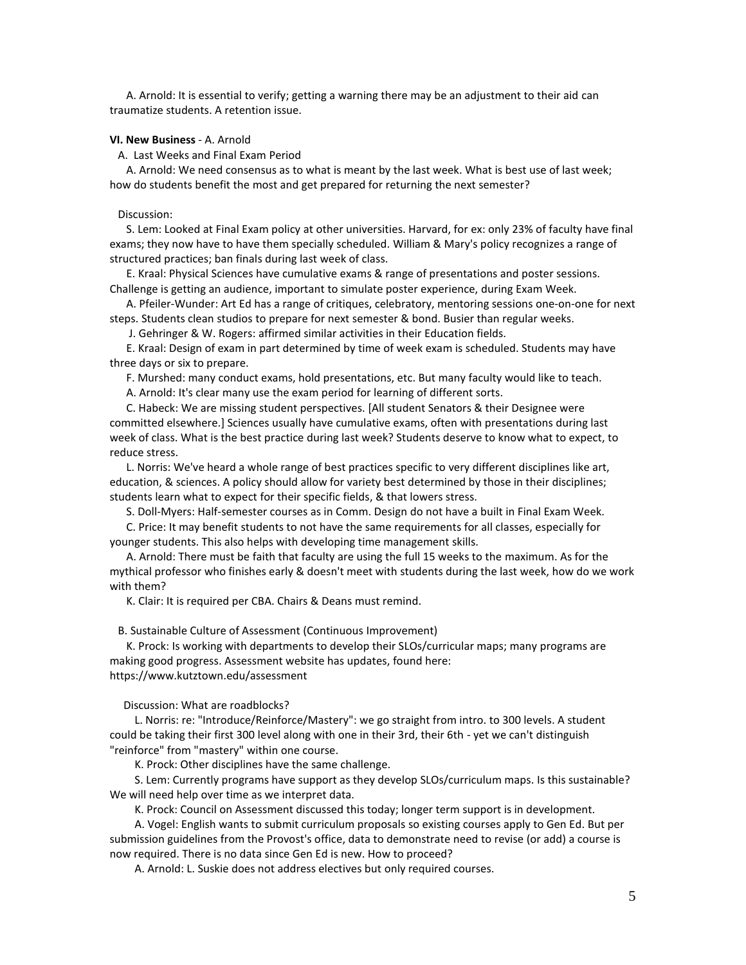A. Arnold: It is essential to verify; getting a warning there may be an adjustment to their aid can traumatize students. A retention issue.

## **VI. New Business** - A. Arnold

A. Last Weeks and Final Exam Period

 A. Arnold: We need consensus as to what is meant by the last week. What is best use of last week; how do students benefit the most and get prepared for returning the next semester?

#### Discussion:

 S. Lem: Looked at Final Exam policy at other universities. Harvard, for ex: only 23% of faculty have final exams; they now have to have them specially scheduled. William & Mary's policy recognizes a range of structured practices; ban finals during last week of class.

 E. Kraal: Physical Sciences have cumulative exams & range of presentations and poster sessions. Challenge is getting an audience, important to simulate poster experience, during Exam Week.

 A. Pfeiler-Wunder: Art Ed has a range of critiques, celebratory, mentoring sessions one-on-one for next steps. Students clean studios to prepare for next semester & bond. Busier than regular weeks.

J. Gehringer & W. Rogers: affirmed similar activities in their Education fields.

 E. Kraal: Design of exam in part determined by time of week exam is scheduled. Students may have three days or six to prepare.

F. Murshed: many conduct exams, hold presentations, etc. But many faculty would like to teach.

A. Arnold: It's clear many use the exam period for learning of different sorts.

 C. Habeck: We are missing student perspectives. [All student Senators & their Designee were committed elsewhere.] Sciences usually have cumulative exams, often with presentations during last week of class. What is the best practice during last week? Students deserve to know what to expect, to reduce stress.

 L. Norris: We've heard a whole range of best practices specific to very different disciplines like art, education, & sciences. A policy should allow for variety best determined by those in their disciplines; students learn what to expect for their specific fields, & that lowers stress.

S. Doll-Myers: Half-semester courses as in Comm. Design do not have a built in Final Exam Week.

 C. Price: It may benefit students to not have the same requirements for all classes, especially for younger students. This also helps with developing time management skills.

 A. Arnold: There must be faith that faculty are using the full 15 weeks to the maximum. As for the mythical professor who finishes early & doesn't meet with students during the last week, how do we work with them?

K. Clair: It is required per CBA. Chairs & Deans must remind.

B. Sustainable Culture of Assessment (Continuous Improvement)

 K. Prock: Is working with departments to develop their SLOs/curricular maps; many programs are making good progress. Assessment website has updates, found here: https://www.kutztown.edu/assessment

Discussion: What are roadblocks?

 L. Norris: re: "Introduce/Reinforce/Mastery": we go straight from intro. to 300 levels. A student could be taking their first 300 level along with one in their 3rd, their 6th - yet we can't distinguish "reinforce" from "mastery" within one course.

K. Prock: Other disciplines have the same challenge.

 S. Lem: Currently programs have support as they develop SLOs/curriculum maps. Is this sustainable? We will need help over time as we interpret data.

K. Prock: Council on Assessment discussed this today; longer term support is in development.

 A. Vogel: English wants to submit curriculum proposals so existing courses apply to Gen Ed. But per submission guidelines from the Provost's office, data to demonstrate need to revise (or add) a course is now required. There is no data since Gen Ed is new. How to proceed?

A. Arnold: L. Suskie does not address electives but only required courses.